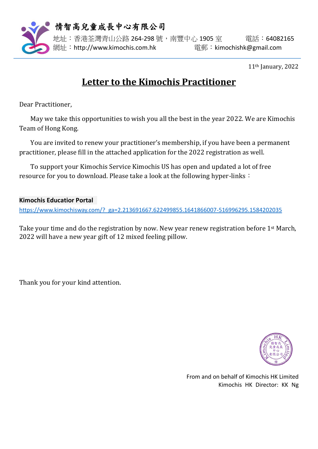

情智高兒童成長中心有限公司

地址:香港荃灣青山公路 264-298 號,南豐中心 1905 室 雷話: 64082165 網址:http://www.kimochis.com.hk 電郵:kimochishk@gmail.com

11th January, 2022

## **Letter to the Kimochis Practitioner**

Dear Practitioner,

May we take this opportunities to wish you all the best in the year 2022. We are Kimochis Team of Hong Kong.

You are invited to renew your practitioner's membership, if you have been a permanent practitioner, please fill in the attached application for the 2022 registration as well.

To support your Kimochis Service Kimochis US has open and updated a lot of free resource for you to download. Please take a look at the following hyper-links:

## **Kimochis Educatior Portal**

[https://www.kimochisway.com/?\\_ga=2.213691667.622499855.1641866007-516996295.1584202035](https://www.kimochisway.com/?_ga=2.213691667.622499855.1641866007-516996295.1584202035)

Take your time and do the registration by now. New year renew registration before 1<sup>st</sup> March, 2022 will have a new year gift of 12 mixed feeling pillow.

Thank you for your kind attention.



From and on behalf of Kimochis HK Limited Kimochis HK Director: KK Ng